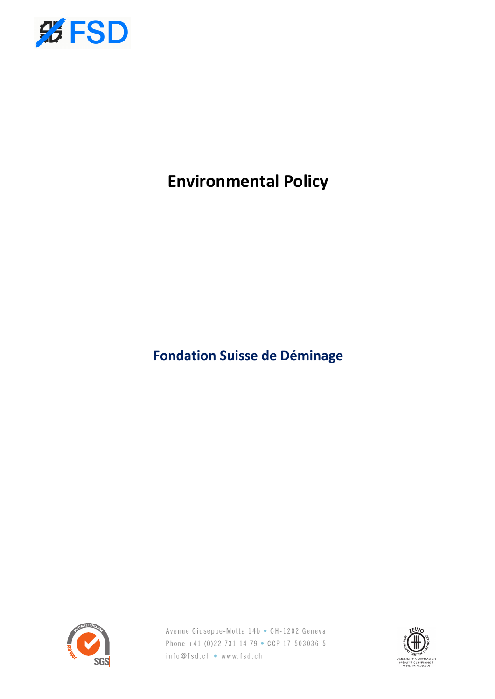

# **Environmental Policy**

**Fondation Suisse de Déminage**



Avenue Giuseppe-Motta 14b • CH-1202 Geneva Phone +41 (0)22 731 14 79 • CCP 17-503036-5 info@fsd.ch • www.fsd.ch

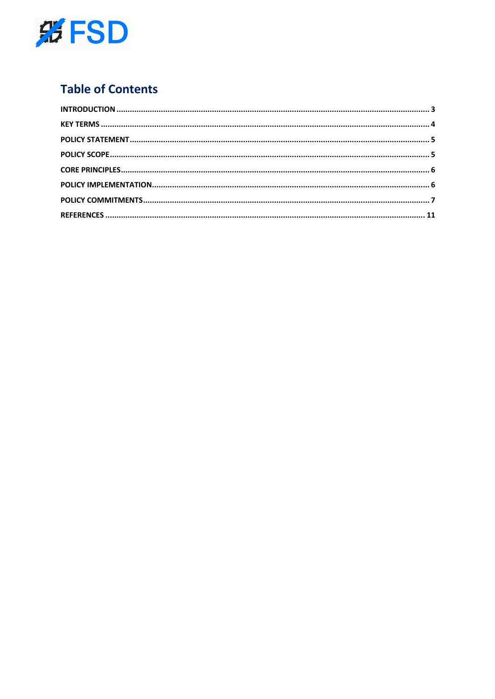

# **Table of Contents**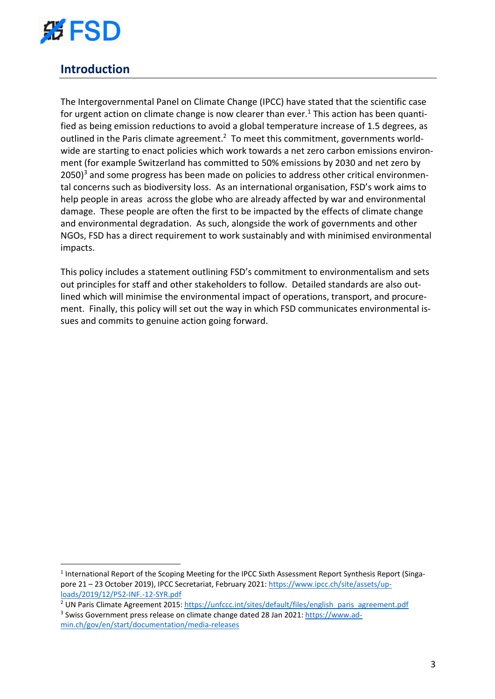

## **Introduction**

The Intergovernmental Panel on Climate Change (IPCC) have stated that the scientific case for urgent action on climate change is now clearer than ever.<sup>1</sup> This action has been quantified as being emission reductions to avoid a global temperature increase of 1.5 degrees, as outlined in the Paris climate agreement.<sup>2</sup> To meet this commitment, governments worldwide are starting to enact policies which work towards a net zero carbon emissions environment (for example Switzerland has committed to 50% emissions by 2030 and net zero by  $2050$ <sup>3</sup> and some progress has been made on policies to address other critical environmental concerns such as biodiversity loss. As an international organisation, FSD's work aims to help people in areas across the globe who are already affected by war and environmental damage. These people are often the first to be impacted by the effects of climate change and environmental degradation. As such, alongside the work of governments and other NGOs, FSD has a direct requirement to work sustainably and with minimised environmental impacts.

This policy includes a statement outlining FSD's commitment to environmentalism and sets out principles for staff and other stakeholders to follow. Detailed standards are also outlined which will minimise the environmental impact of operations, transport, and procurement. Finally, this policy will set out the way in which FSD communicates environmental issues and commits to genuine action going forward.

<sup>2</sup> UN Paris Climate Agreement 2015: https://unfccc.int/sites/default/files/english\_paris\_agreement.pdf

<sup>&</sup>lt;sup>1</sup> International Report of the Scoping Meeting for the IPCC Sixth Assessment Report Synthesis Report (Singapore 21 – 23 October 2019), IPCC Secretariat, February 2021: https://www.ipcc.ch/site/assets/uploads/2019/12/P52-INF.-12-SYR.pdf

<sup>3</sup> Swiss Government press release on climate change dated 28 Jan 2021: https://www.admin.ch/gov/en/start/documentation/media-releases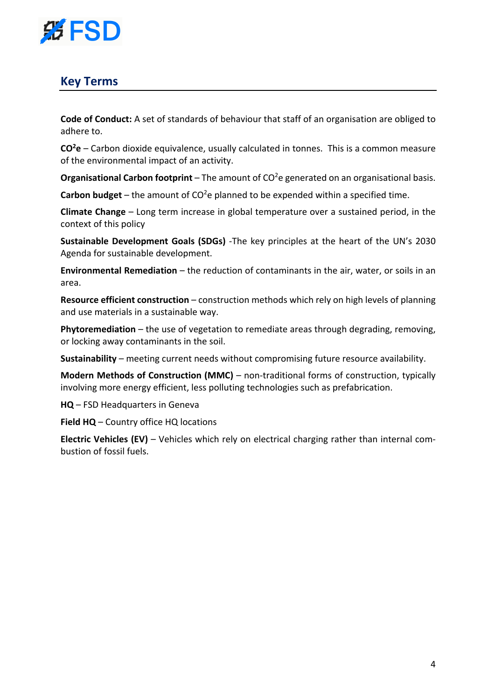

### **Key Terms**

**Code of Conduct:** A set of standards of behaviour that staff of an organisation are obliged to adhere to.

**CO2 e** – Carbon dioxide equivalence, usually calculated in tonnes. This is a common measure of the environmental impact of an activity.

Organisational Carbon footprint - The amount of CO<sup>2</sup>e generated on an organisational basis.

Carbon budget - the amount of CO<sup>2</sup>e planned to be expended within a specified time.

**Climate Change** – Long term increase in global temperature over a sustained period, in the context of this policy

**Sustainable Development Goals (SDGs)** -The key principles at the heart of the UN's 2030 Agenda for sustainable development.

**Environmental Remediation** – the reduction of contaminants in the air, water, or soils in an area.

**Resource efficient construction** – construction methods which rely on high levels of planning and use materials in a sustainable way.

**Phytoremediation** – the use of vegetation to remediate areas through degrading, removing, or locking away contaminants in the soil.

**Sustainability** – meeting current needs without compromising future resource availability.

**Modern Methods of Construction (MMC)** – non-traditional forms of construction, typically involving more energy efficient, less polluting technologies such as prefabrication.

**HQ** – FSD Headquarters in Geneva

**Field HQ** – Country office HQ locations

**Electric Vehicles (EV)** – Vehicles which rely on electrical charging rather than internal combustion of fossil fuels.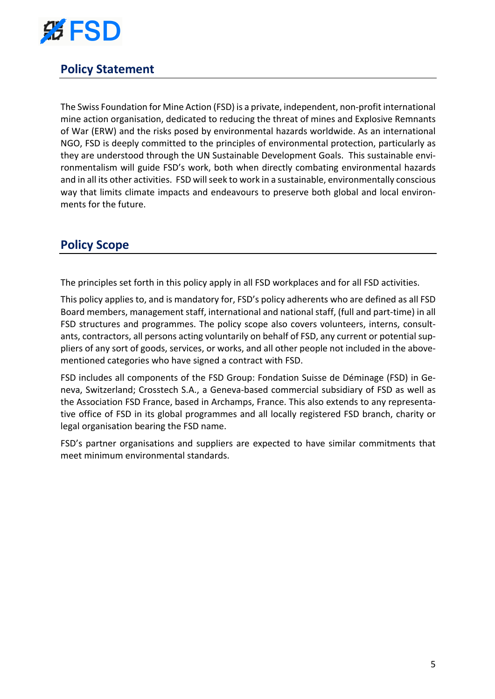

# **Policy Statement**

The Swiss Foundation for Mine Action (FSD) is a private, independent, non-profit international mine action organisation, dedicated to reducing the threat of mines and Explosive Remnants of War (ERW) and the risks posed by environmental hazards worldwide. As an international NGO, FSD is deeply committed to the principles of environmental protection, particularly as they are understood through the UN Sustainable Development Goals. This sustainable environmentalism will guide FSD's work, both when directly combating environmental hazards and in all its other activities. FSD will seek to work in a sustainable, environmentally conscious way that limits climate impacts and endeavours to preserve both global and local environments for the future.

### **Policy Scope**

The principles set forth in this policy apply in all FSD workplaces and for all FSD activities.

This policy applies to, and is mandatory for, FSD's policy adherents who are defined as all FSD Board members, management staff, international and national staff, (full and part-time) in all FSD structures and programmes. The policy scope also covers volunteers, interns, consultants, contractors, all persons acting voluntarily on behalf of FSD, any current or potential suppliers of any sort of goods, services, or works, and all other people not included in the abovementioned categories who have signed a contract with FSD.

FSD includes all components of the FSD Group: Fondation Suisse de Déminage (FSD) in Geneva, Switzerland; Crosstech S.A., a Geneva-based commercial subsidiary of FSD as well as the Association FSD France, based in Archamps, France. This also extends to any representative office of FSD in its global programmes and all locally registered FSD branch, charity or legal organisation bearing the FSD name.

FSD's partner organisations and suppliers are expected to have similar commitments that meet minimum environmental standards.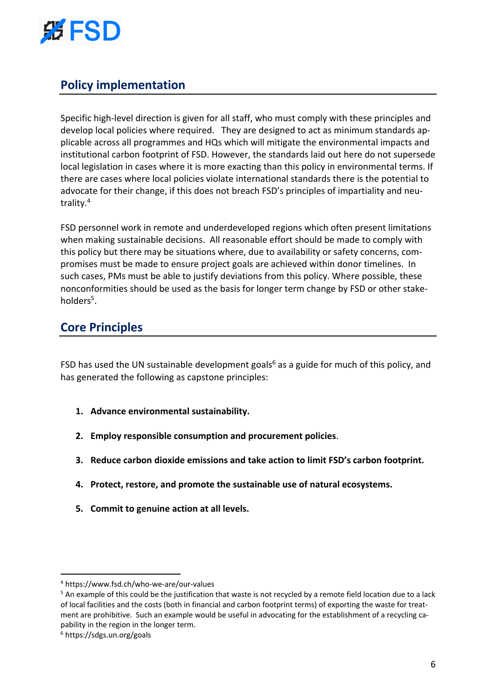

# **Policy implementation**

Specific high-level direction is given for all staff, who must comply with these principles and develop local policies where required. They are designed to act as minimum standards applicable across all programmes and HQs which will mitigate the environmental impacts and institutional carbon footprint of FSD. However, the standards laid out here do not supersede local legislation in cases where it is more exacting than this policy in environmental terms. If there are cases where local policies violate international standards there is the potential to advocate for their change, if this does not breach FSD's principles of impartiality and neutrality.4

FSD personnel work in remote and underdeveloped regions which often present limitations when making sustainable decisions. All reasonable effort should be made to comply with this policy but there may be situations where, due to availability or safety concerns, compromises must be made to ensure project goals are achieved within donor timelines. In such cases, PMs must be able to justify deviations from this policy. Where possible, these nonconformities should be used as the basis for longer term change by FSD or other stakeholders<sup>5</sup>.

### **Core Principles**

FSD has used the UN sustainable development goals<sup>6</sup> as a guide for much of this policy, and has generated the following as capstone principles:

- **1. Advance environmental sustainability.**
- **2. Employ responsible consumption and procurement policies**.
- **3. Reduce carbon dioxide emissions and take action to limit FSD's carbon footprint.**
- **4. Protect, restore, and promote the sustainable use of natural ecosystems.**
- **5. Commit to genuine action at all levels.**

<sup>4</sup> https://www.fsd.ch/who-we-are/our-values

 $5$  An example of this could be the justification that waste is not recycled by a remote field location due to a lack of local facilities and the costs (both in financial and carbon footprint terms) of exporting the waste for treatment are prohibitive. Such an example would be useful in advocating for the establishment of a recycling capability in the region in the longer term.

<sup>6</sup> https://sdgs.un.org/goals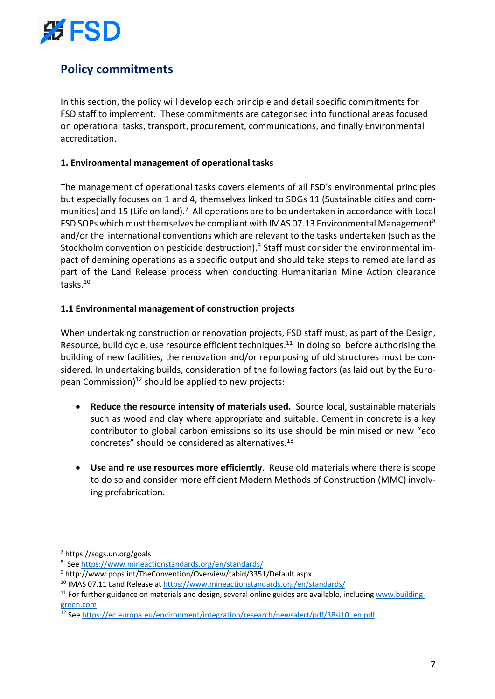

# **Policy commitments**

In this section, the policy will develop each principle and detail specific commitments for FSD staff to implement. These commitments are categorised into functional areas focused on operational tasks, transport, procurement, communications, and finally Environmental accreditation.

### **1. Environmental management of operational tasks**

The management of operational tasks covers elements of all FSD's environmental principles but especially focuses on 1 and 4, themselves linked to SDGs 11 (Sustainable cities and communities) and 15 (Life on land).<sup>7</sup> All operations are to be undertaken in accordance with Local FSD SOPs which must themselves be compliant with IMAS 07.13 Environmental Management<sup>8</sup> and/or the international conventions which are relevant to the tasks undertaken (such as the Stockholm convention on pesticide destruction).<sup>9</sup> Staff must consider the environmental impact of demining operations as a specific output and should take steps to remediate land as part of the Land Release process when conducting Humanitarian Mine Action clearance tasks. 10

### **1.1 Environmental management of construction projects**

When undertaking construction or renovation projects, FSD staff must, as part of the Design, Resource, build cycle, use resource efficient techniques.<sup>11</sup> In doing so, before authorising the building of new facilities, the renovation and/or repurposing of old structures must be considered. In undertaking builds, consideration of the following factors (as laid out by the European Commission) $12$  should be applied to new projects:

- **Reduce the resource intensity of materials used.** Source local, sustainable materials such as wood and clay where appropriate and suitable. Cement in concrete is a key contributor to global carbon emissions so its use should be minimised or new "eco concretes" should be considered as alternatives.13
- **Use and re use resources more efficiently**. Reuse old materials where there is scope to do so and consider more efficient Modern Methods of Construction (MMC) involving prefabrication.

<sup>7</sup> https://sdgs.un.org/goals

<sup>&</sup>lt;sup>8</sup> See https://www.mineactionstandards.org/en/standards/

<sup>9</sup> http://www.pops.int/TheConvention/Overview/tabid/3351/Default.aspx

<sup>&</sup>lt;sup>10</sup> IMAS 07.11 Land Release at https://www.mineactionstandards.org/en/standards/

<sup>&</sup>lt;sup>11</sup> For further guidance on materials and design, several online guides are available, including www.buildinggreen.com

<sup>12</sup> See https://ec.europa.eu/environment/integration/research/newsalert/pdf/38si10\_en.pdf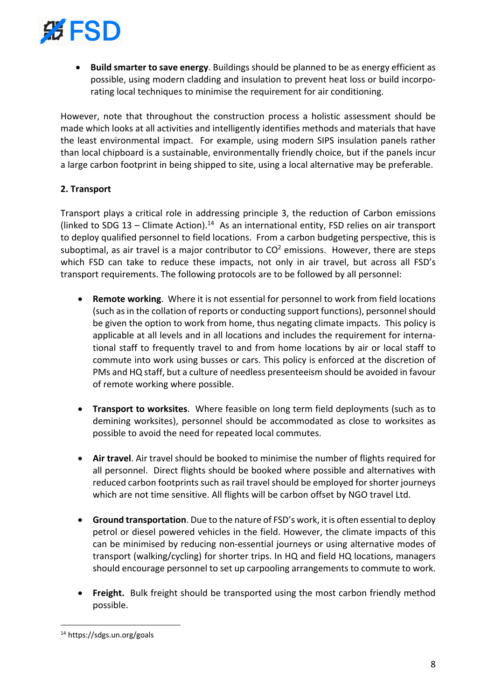

• **Build smarter to save energy**. Buildings should be planned to be as energy efficient as possible, using modern cladding and insulation to prevent heat loss or build incorporating local techniques to minimise the requirement for air conditioning.

However, note that throughout the construction process a holistic assessment should be made which looks at all activities and intelligently identifies methods and materials that have the least environmental impact. For example, using modern SIPS insulation panels rather than local chipboard is a sustainable, environmentally friendly choice, but if the panels incur a large carbon footprint in being shipped to site, using a local alternative may be preferable.

#### **2. Transport**

Transport plays a critical role in addressing principle 3, the reduction of Carbon emissions (linked to SDG 13 – Climate Action).<sup>14</sup> As an international entity, FSD relies on air transport to deploy qualified personnel to field locations. From a carbon budgeting perspective, this is suboptimal, as air travel is a major contributor to  $CO<sup>2</sup>$  emissions. However, there are steps which FSD can take to reduce these impacts, not only in air travel, but across all FSD's transport requirements. The following protocols are to be followed by all personnel:

- **Remote working**. Where it is not essential for personnel to work from field locations (such as in the collation of reports or conducting support functions), personnel should be given the option to work from home, thus negating climate impacts. This policy is applicable at all levels and in all locations and includes the requirement for international staff to frequently travel to and from home locations by air or local staff to commute into work using busses or cars. This policy is enforced at the discretion of PMs and HQ staff, but a culture of needless presenteeism should be avoided in favour of remote working where possible.
- **Transport to worksites**. Where feasible on long term field deployments (such as to demining worksites), personnel should be accommodated as close to worksites as possible to avoid the need for repeated local commutes.
- **Air travel**. Air travel should be booked to minimise the number of flights required for all personnel. Direct flights should be booked where possible and alternatives with reduced carbon footprints such as rail travel should be employed for shorter journeys which are not time sensitive. All flights will be carbon offset by NGO travel Ltd.
- **Ground transportation**. Due to the nature of FSD's work, it is often essential to deploy petrol or diesel powered vehicles in the field. However, the climate impacts of this can be minimised by reducing non-essential journeys or using alternative modes of transport (walking/cycling) for shorter trips. In HQ and field HQ locations, managers should encourage personnel to set up carpooling arrangements to commute to work.
- **Freight.** Bulk freight should be transported using the most carbon friendly method possible.

<sup>14</sup> https://sdgs.un.org/goals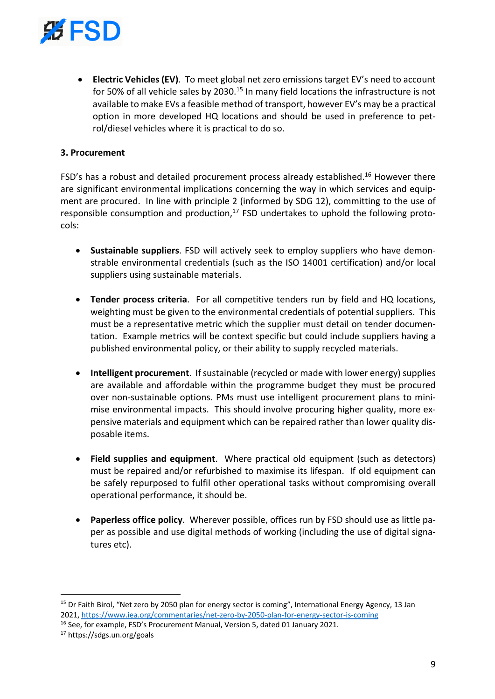

• **Electric Vehicles (EV)**. To meet global net zero emissions target EV's need to account for 50% of all vehicle sales by 2030.<sup>15</sup> In many field locations the infrastructure is not available to make EVs a feasible method of transport, however EV's may be a practical option in more developed HQ locations and should be used in preference to petrol/diesel vehicles where it is practical to do so.

#### **3. Procurement**

FSD's has a robust and detailed procurement process already established.<sup>16</sup> However there are significant environmental implications concerning the way in which services and equipment are procured. In line with principle 2 (informed by SDG 12), committing to the use of responsible consumption and production,<sup>17</sup> FSD undertakes to uphold the following protocols:

- **Sustainable suppliers**. FSD will actively seek to employ suppliers who have demonstrable environmental credentials (such as the ISO 14001 certification) and/or local suppliers using sustainable materials.
- **Tender process criteria**. For all competitive tenders run by field and HQ locations, weighting must be given to the environmental credentials of potential suppliers. This must be a representative metric which the supplier must detail on tender documentation. Example metrics will be context specific but could include suppliers having a published environmental policy, or their ability to supply recycled materials.
- **Intelligent procurement**. If sustainable (recycled or made with lower energy) supplies are available and affordable within the programme budget they must be procured over non-sustainable options. PMs must use intelligent procurement plans to minimise environmental impacts. This should involve procuring higher quality, more expensive materials and equipment which can be repaired rather than lower quality disposable items.
- **Field supplies and equipment**. Where practical old equipment (such as detectors) must be repaired and/or refurbished to maximise its lifespan. If old equipment can be safely repurposed to fulfil other operational tasks without compromising overall operational performance, it should be.
- **Paperless office policy**. Wherever possible, offices run by FSD should use as little paper as possible and use digital methods of working (including the use of digital signatures etc).

<sup>&</sup>lt;sup>15</sup> Dr Faith Birol, "Net zero by 2050 plan for energy sector is coming", International Energy Agency, 13 Jan 2021, https://www.iea.org/commentaries/net-zero-by-2050-plan-for-energy-sector-is-coming

<sup>&</sup>lt;sup>16</sup> See, for example, FSD's Procurement Manual, Version 5, dated 01 January 2021.

<sup>17</sup> https://sdgs.un.org/goals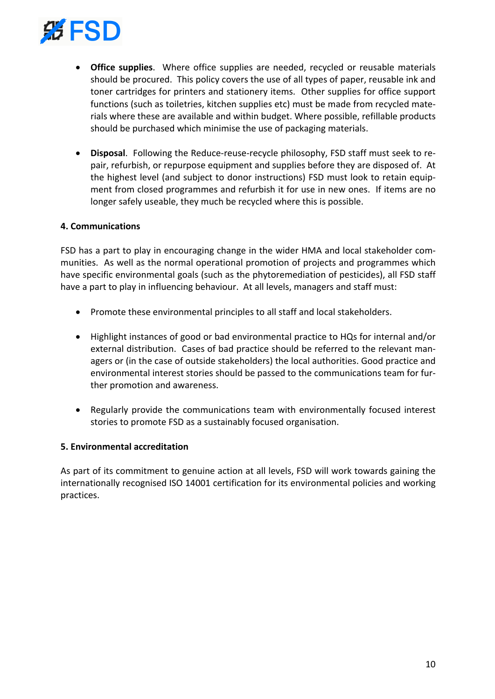

- **Office supplies**. Where office supplies are needed, recycled or reusable materials should be procured. This policy covers the use of all types of paper, reusable ink and toner cartridges for printers and stationery items. Other supplies for office support functions (such as toiletries, kitchen supplies etc) must be made from recycled materials where these are available and within budget. Where possible, refillable products should be purchased which minimise the use of packaging materials.
- **Disposal**. Following the Reduce-reuse-recycle philosophy, FSD staff must seek to repair, refurbish, or repurpose equipment and supplies before they are disposed of. At the highest level (and subject to donor instructions) FSD must look to retain equipment from closed programmes and refurbish it for use in new ones. If items are no longer safely useable, they much be recycled where this is possible.

#### **4. Communications**

FSD has a part to play in encouraging change in the wider HMA and local stakeholder communities. As well as the normal operational promotion of projects and programmes which have specific environmental goals (such as the phytoremediation of pesticides), all FSD staff have a part to play in influencing behaviour. At all levels, managers and staff must:

- Promote these environmental principles to all staff and local stakeholders.
- Highlight instances of good or bad environmental practice to HQs for internal and/or external distribution. Cases of bad practice should be referred to the relevant managers or (in the case of outside stakeholders) the local authorities. Good practice and environmental interest stories should be passed to the communications team for further promotion and awareness.
- Regularly provide the communications team with environmentally focused interest stories to promote FSD as a sustainably focused organisation.

#### **5. Environmental accreditation**

As part of its commitment to genuine action at all levels, FSD will work towards gaining the internationally recognised ISO 14001 certification for its environmental policies and working practices.